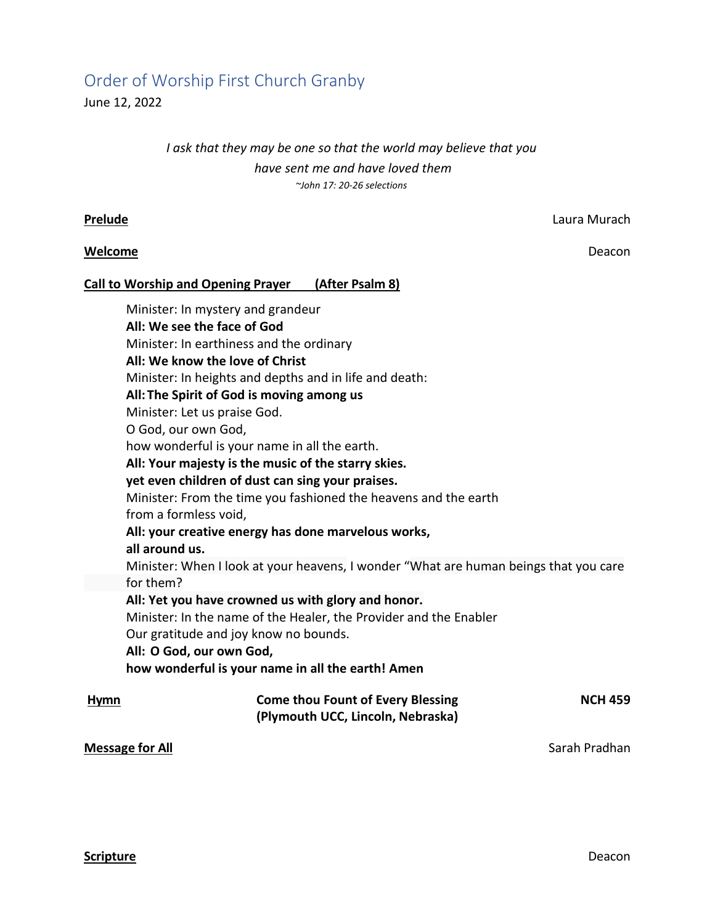# Order of Worship First Church Granby

June 12, 2022

## *I ask that they may be one so that the world may believe that you have sent me and have loved them ~John 17: 20-26 selections*

### **Welcome** Deacon

**Prelude** Laura Murach

## **Call to Worship and Opening Prayer (After Psalm 8)**

Minister: In mystery and grandeur **All: We see the face of God** Minister: In earthiness and the ordinary **All: We know the love of Christ** Minister: In heights and depths and in life and death: **All: The Spirit of God is moving among us** Minister: Let us praise God. O God, our own God, how wonderful is your name in all the earth. **All: Your majesty is the music of the starry skies. yet even children of dust can sing your praises.** Minister: From the time you fashioned the heavens and the earth from a formless void, **All: your creative energy has done marvelous works, all around us.** Minister: When I look at your heavens, I wonder "What are human beings that you care for them? **All: Yet you have crowned us with glory and honor.** Minister: In the name of the Healer, the Provider and the Enabler Our gratitude and joy know no bounds. **All: O God, our own God, how wonderful is your name in all the earth! Amen Hymn Come thou Fount of Every Blessing <b>NCH 459 (Plymouth UCC, Lincoln, Nebraska)**

## **Message for All** Sarah Pradhan **Message for All** Sarah Pradhan Sarah Pradhan Sarah Pradhan Sarah Pradhan Sarah Pradhan Sarah Pradhan Sarah Pradhan Sarah Pradhan Sarah Pradhan Sarah Pradhan Sarah Pradhan Sarah Pradhan Sara